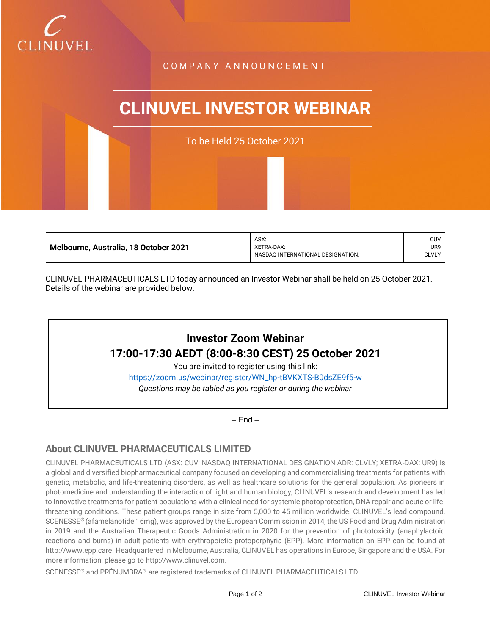

## C O M P A N Y A N N O U N C E M E N T

# **CLINUVEL INVESTOR WEBINAR**

To be Held 25 October 2021

| Melbourne, Australia, 18 October 2021 | ASX:                              | <b>CUV</b>   |
|---------------------------------------|-----------------------------------|--------------|
|                                       | XETRA-DAX:                        | UR9          |
|                                       | NASDAO INTERNATIONAL DESIGNATION: | <b>CLVLY</b> |
|                                       |                                   |              |

CLINUVEL PHARMACEUTICALS LTD today announced an Investor Webinar shall be held on 25 October 2021. Details of the webinar are provided below:

## **Investor Zoom Webinar 17:00-17:30 AEDT (8:00-8:30 CEST) 25 October 2021**

You are invited to register using this link:

[https://zoom.us/webinar/register/WN\\_hp-tBVKXTS-B0dsZE9f5-w](https://zoom.us/webinar/register/WN_hp-tBVKXTS-B0dsZE9f5-w) *Questions may be tabled as you register or during the webinar*

– End –

## **About CLINUVEL PHARMACEUTICALS LIMITED**

CLINUVEL PHARMACEUTICALS LTD (ASX: CUV; NASDAQ INTERNATIONAL DESIGNATION ADR: CLVLY; XETRA-DAX: UR9) is a global and diversified biopharmaceutical company focused on developing and commercialising treatments for patients with genetic, metabolic, and life-threatening disorders, as well as healthcare solutions for the general population. As pioneers in photomedicine and understanding the interaction of light and human biology, CLINUVEL's research and development has led to innovative treatments for patient populations with a clinical need for systemic photoprotection, DNA repair and acute or lifethreatening conditions. These patient groups range in size from 5,000 to 45 million worldwide. CLINUVEL's lead compound, SCENESSE® (afamelanotide 16mg), was approved by the European Commission in 2014, the US Food and Drug Administration in 2019 and the Australian Therapeutic Goods Administration in 2020 for the prevention of phototoxicity (anaphylactoid reactions and burns) in adult patients with erythropoietic protoporphyria (EPP). More information on EPP can be found at [http://www.epp.care.](http://www.epp.care/) Headquartered in Melbourne, Australia, CLINUVEL has operations in Europe, Singapore and the USA. For more information, please go t[o http://www.clinuvel.com.](http://www.clinuvel.com/)

SCENESSE® and PRÉNUMBRA® are registered trademarks of CLINUVEL PHARMACEUTICALS LTD.